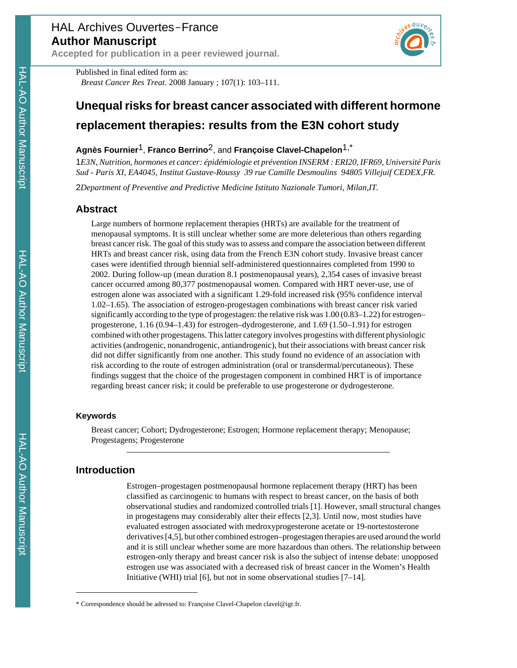**Accepted for publication in a peer reviewed journal.**



Published in final edited form as: *Breast Cancer Res Treat*. 2008 January ; 107(1): 103–111.

# **Unequal risks for breast cancer associated with different hormone replacement therapies: results from the E3N cohort study**

# **Agnès Fournier**1, **Franco Berrino**2, and **Françoise Clavel-Chapelon**1,\*

1*E3N, Nutrition, hormones et cancer: épidémiologie et prévention INSERM : ERI20, IFR69, Université Paris Sud - Paris XI, EA4045, Institut Gustave-Roussy 39 rue Camille Desmoulins 94805 Villejuif CEDEX,FR.*

2*Department of Preventive and Predictive Medicine Istituto Nazionale Tumori, Milan,IT.*

## **Abstract**

Large numbers of hormone replacement therapies (HRTs) are available for the treatment of menopausal symptoms. It is still unclear whether some are more deleterious than others regarding breast cancer risk. The goal of this study was to assess and compare the association between different HRTs and breast cancer risk, using data from the French E3N cohort study. Invasive breast cancer cases were identified through biennial self-administered questionnaires completed from 1990 to 2002. During follow-up (mean duration 8.1 postmenopausal years), 2,354 cases of invasive breast cancer occurred among 80,377 postmenopausal women. Compared with HRT never-use, use of estrogen alone was associated with a significant 1.29-fold increased risk (95% confidence interval 1.02–1.65). The association of estrogen-progestagen combinations with breast cancer risk varied significantly according to the type of progestagen: the relative risk was 1.00 (0.83–1.22) for estrogen– progesterone, 1.16 (0.94–1.43) for estrogen–dydrogesterone, and 1.69 (1.50–1.91) for estrogen combined with other progestagens. This latter category involves progestins with different physiologic activities (androgenic, nonandrogenic, antiandrogenic), but their associations with breast cancer risk did not differ significantly from one another. This study found no evidence of an association with risk according to the route of estrogen administration (oral or transdermal/percutaneous). These findings suggest that the choice of the progestagen component in combined HRT is of importance regarding breast cancer risk; it could be preferable to use progesterone or dydrogesterone.

## **Keywords**

Breast cancer; Cohort; Dydrogesterone; Estrogen; Hormone replacement therapy; Menopause; Progestagens; Progesterone

## **Introduction**

Estrogen–progestagen postmenopausal hormone replacement therapy (HRT) has been classified as carcinogenic to humans with respect to breast cancer, on the basis of both observational studies and randomized controlled trials [1]. However, small structural changes in progestagens may considerably alter their effects [2,3]. Until now, most studies have evaluated estrogen associated with medroxyprogesterone acetate or 19-nortestosterone derivatives [4,5], but other combined estrogen–progestagen therapies are used around the world and it is still unclear whether some are more hazardous than others. The relationship between estrogen-only therapy and breast cancer risk is also the subject of intense debate: unopposed estrogen use was associated with a decreased risk of breast cancer in the Women's Health Initiative (WHI) trial [6], but not in some observational studies [7–14].

<sup>\*</sup> Correspondence should be adressed to: Françoise Clavel-Chapelon clavel@igr.fr.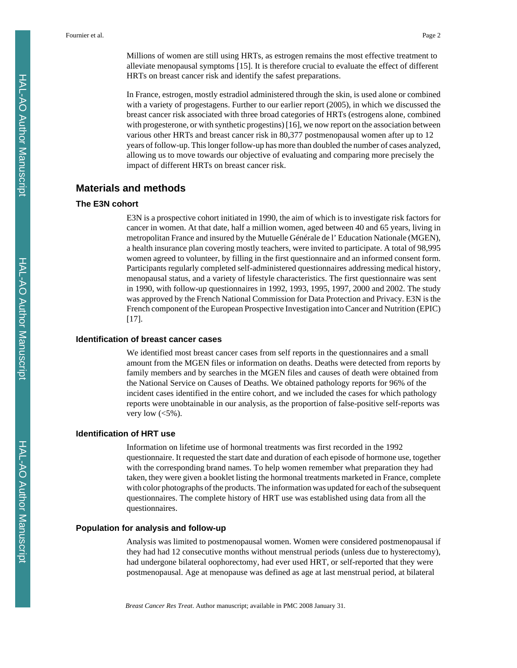Millions of women are still using HRTs, as estrogen remains the most effective treatment to alleviate menopausal symptoms [15]. It is therefore crucial to evaluate the effect of different HRTs on breast cancer risk and identify the safest preparations.

In France, estrogen, mostly estradiol administered through the skin, is used alone or combined with a variety of progestagens. Further to our earlier report (2005), in which we discussed the breast cancer risk associated with three broad categories of HRTs (estrogens alone, combined with progesterone, or with synthetic progestins) [16], we now report on the association between various other HRTs and breast cancer risk in 80,377 postmenopausal women after up to 12 years of follow-up. This longer follow-up has more than doubled the number of cases analyzed, allowing us to move towards our objective of evaluating and comparing more precisely the impact of different HRTs on breast cancer risk.

## **Materials and methods**

## **The E3N cohort**

E3N is a prospective cohort initiated in 1990, the aim of which is to investigate risk factors for cancer in women. At that date, half a million women, aged between 40 and 65 years, living in metropolitan France and insured by the Mutuelle Générale de l' Education Nationale (MGEN), a health insurance plan covering mostly teachers, were invited to participate. A total of 98,995 women agreed to volunteer, by filling in the first questionnaire and an informed consent form. Participants regularly completed self-administered questionnaires addressing medical history, menopausal status, and a variety of lifestyle characteristics. The first questionnaire was sent in 1990, with follow-up questionnaires in 1992, 1993, 1995, 1997, 2000 and 2002. The study was approved by the French National Commission for Data Protection and Privacy. E3N is the French component of the European Prospective Investigation into Cancer and Nutrition (EPIC) [17].

#### **Identification of breast cancer cases**

We identified most breast cancer cases from self reports in the questionnaires and a small amount from the MGEN files or information on deaths. Deaths were detected from reports by family members and by searches in the MGEN files and causes of death were obtained from the National Service on Causes of Deaths. We obtained pathology reports for 96% of the incident cases identified in the entire cohort, and we included the cases for which pathology reports were unobtainable in our analysis, as the proportion of false-positive self-reports was very low  $(<5\%)$ .

#### **Identification of HRT use**

Information on lifetime use of hormonal treatments was first recorded in the 1992 questionnaire. It requested the start date and duration of each episode of hormone use, together with the corresponding brand names. To help women remember what preparation they had taken, they were given a booklet listing the hormonal treatments marketed in France, complete with color photographs of the products. The information was updated for each of the subsequent questionnaires. The complete history of HRT use was established using data from all the questionnaires.

#### **Population for analysis and follow-up**

Analysis was limited to postmenopausal women. Women were considered postmenopausal if they had had 12 consecutive months without menstrual periods (unless due to hysterectomy), had undergone bilateral oophorectomy, had ever used HRT, or self-reported that they were postmenopausal. Age at menopause was defined as age at last menstrual period, at bilateral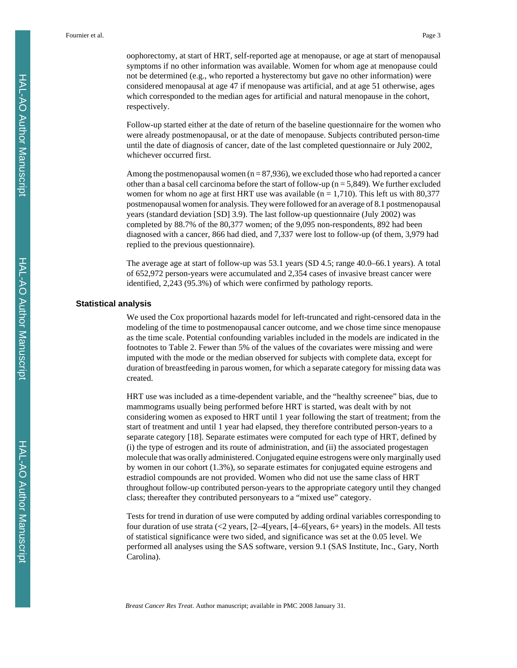oophorectomy, at start of HRT, self-reported age at menopause, or age at start of menopausal symptoms if no other information was available. Women for whom age at menopause could not be determined (e.g., who reported a hysterectomy but gave no other information) were considered menopausal at age 47 if menopause was artificial, and at age 51 otherwise, ages which corresponded to the median ages for artificial and natural menopause in the cohort, respectively.

Follow-up started either at the date of return of the baseline questionnaire for the women who were already postmenopausal, or at the date of menopause. Subjects contributed person-time until the date of diagnosis of cancer, date of the last completed questionnaire or July 2002, whichever occurred first.

Among the postmenopausal women  $(n = 87, 936)$ , we excluded those who had reported a cancer other than a basal cell carcinoma before the start of follow-up ( $n = 5,849$ ). We further excluded women for whom no age at first HRT use was available ( $n = 1,710$ ). This left us with 80,377 postmenopausal women for analysis. They were followed for an average of 8.1 postmenopausal years (standard deviation [SD] 3.9). The last follow-up questionnaire (July 2002) was completed by 88.7% of the 80,377 women; of the 9,095 non-respondents, 892 had been diagnosed with a cancer, 866 had died, and 7,337 were lost to follow-up (of them, 3,979 had replied to the previous questionnaire).

The average age at start of follow-up was 53.1 years (SD 4.5; range 40.0–66.1 years). A total of 652,972 person-years were accumulated and 2,354 cases of invasive breast cancer were identified, 2,243 (95.3%) of which were confirmed by pathology reports.

#### **Statistical analysis**

We used the Cox proportional hazards model for left-truncated and right-censored data in the modeling of the time to postmenopausal cancer outcome, and we chose time since menopause as the time scale. Potential confounding variables included in the models are indicated in the footnotes to Table 2. Fewer than 5% of the values of the covariates were missing and were imputed with the mode or the median observed for subjects with complete data, except for duration of breastfeeding in parous women, for which a separate category for missing data was created.

HRT use was included as a time-dependent variable, and the "healthy screenee" bias, due to mammograms usually being performed before HRT is started, was dealt with by not considering women as exposed to HRT until 1 year following the start of treatment; from the start of treatment and until 1 year had elapsed, they therefore contributed person-years to a separate category [18]. Separate estimates were computed for each type of HRT, defined by (i) the type of estrogen and its route of administration, and (ii) the associated progestagen molecule that was orally administered. Conjugated equine estrogens were only marginally used by women in our cohort (1.3%), so separate estimates for conjugated equine estrogens and estradiol compounds are not provided. Women who did not use the same class of HRT throughout follow-up contributed person-years to the appropriate category until they changed class; thereafter they contributed personyears to a "mixed use" category.

Tests for trend in duration of use were computed by adding ordinal variables corresponding to four duration of use strata (<2 years, [2–4[years, [4–6[years, 6+ years) in the models. All tests of statistical significance were two sided, and significance was set at the 0.05 level. We performed all analyses using the SAS software, version 9.1 (SAS Institute, Inc., Gary, North Carolina).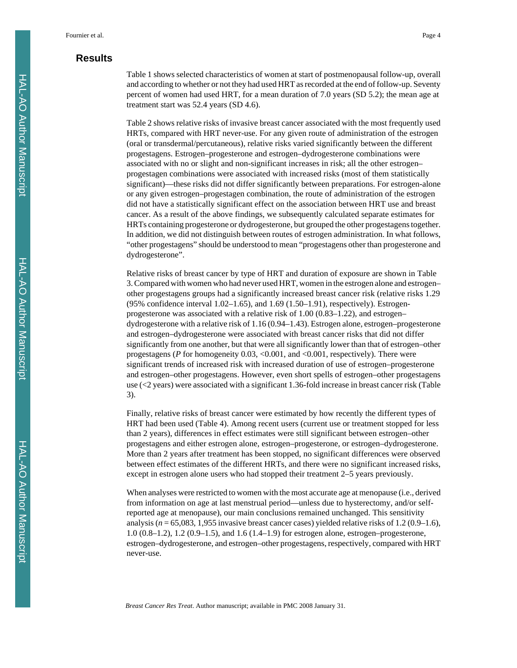## **Results**

Table 1 shows selected characteristics of women at start of postmenopausal follow-up, overall and according to whether or not they had used HRT as recorded at the end of follow-up. Seventy percent of women had used HRT, for a mean duration of 7.0 years (SD 5.2); the mean age at treatment start was 52.4 years (SD 4.6).

Table 2 shows relative risks of invasive breast cancer associated with the most frequently used HRTs, compared with HRT never-use. For any given route of administration of the estrogen (oral or transdermal/percutaneous), relative risks varied significantly between the different progestagens. Estrogen–progesterone and estrogen–dydrogesterone combinations were associated with no or slight and non-significant increases in risk; all the other estrogen– progestagen combinations were associated with increased risks (most of them statistically significant)—these risks did not differ significantly between preparations. For estrogen-alone or any given estrogen–progestagen combination, the route of administration of the estrogen did not have a statistically significant effect on the association between HRT use and breast cancer. As a result of the above findings, we subsequently calculated separate estimates for HRTs containing progesterone or dydrogesterone, but grouped the other progestagens together. In addition, we did not distinguish between routes of estrogen administration. In what follows, "other progestagens" should be understood to mean "progestagens other than progesterone and dydrogesterone".

Relative risks of breast cancer by type of HRT and duration of exposure are shown in Table 3. Compared with women who had never used HRT, women in the estrogen alone and estrogen– other progestagens groups had a significantly increased breast cancer risk (relative risks 1.29 (95% confidence interval 1.02–1.65), and 1.69 (1.50–1.91), respectively). Estrogenprogesterone was associated with a relative risk of 1.00 (0.83–1.22), and estrogen– dydrogesterone with a relative risk of 1.16 (0.94–1.43). Estrogen alone, estrogen–progesterone and estrogen–dydrogesterone were associated with breast cancer risks that did not differ significantly from one another, but that were all significantly lower than that of estrogen–other progestagens (*P* for homogeneity 0.03, <0.001, and <0.001, respectively). There were significant trends of increased risk with increased duration of use of estrogen–progesterone and estrogen–other progestagens. However, even short spells of estrogen–other progestagens use (<2 years) were associated with a significant 1.36-fold increase in breast cancer risk (Table 3).

Finally, relative risks of breast cancer were estimated by how recently the different types of HRT had been used (Table 4). Among recent users (current use or treatment stopped for less than 2 years), differences in effect estimates were still significant between estrogen–other progestagens and either estrogen alone, estrogen–progesterone, or estrogen–dydrogesterone. More than 2 years after treatment has been stopped, no significant differences were observed between effect estimates of the different HRTs, and there were no significant increased risks, except in estrogen alone users who had stopped their treatment 2–5 years previously.

When analyses were restricted to women with the most accurate age at menopause (i.e., derived from information on age at last menstrual period—unless due to hysterectomy, and/or selfreported age at menopause), our main conclusions remained unchanged. This sensitivity analysis  $(n = 65,083, 1,955)$  invasive breast cancer cases) yielded relative risks of 1.2 (0.9–1.6), 1.0 (0.8–1.2), 1.2 (0.9–1.5), and 1.6 (1.4–1.9) for estrogen alone, estrogen–progesterone, estrogen–dydrogesterone, and estrogen–other progestagens, respectively, compared with HRT never-use.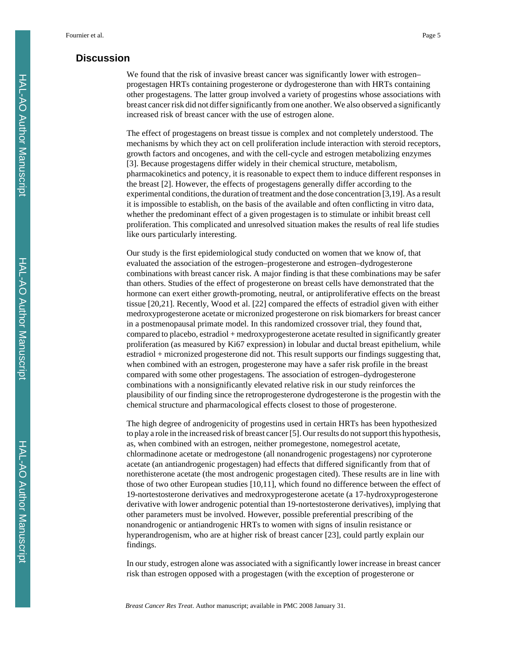## **Discussion**

We found that the risk of invasive breast cancer was significantly lower with estrogen– progestagen HRTs containing progesterone or dydrogesterone than with HRTs containing other progestagens. The latter group involved a variety of progestins whose associations with breast cancer risk did not differ significantly from one another. We also observed a significantly increased risk of breast cancer with the use of estrogen alone.

The effect of progestagens on breast tissue is complex and not completely understood. The mechanisms by which they act on cell proliferation include interaction with steroid receptors, growth factors and oncogenes, and with the cell-cycle and estrogen metabolizing enzymes [3]. Because progestagens differ widely in their chemical structure, metabolism, pharmacokinetics and potency, it is reasonable to expect them to induce different responses in the breast [2]. However, the effects of progestagens generally differ according to the experimental conditions, the duration of treatment and the dose concentration [3,19]. As a result it is impossible to establish, on the basis of the available and often conflicting in vitro data, whether the predominant effect of a given progestagen is to stimulate or inhibit breast cell proliferation. This complicated and unresolved situation makes the results of real life studies like ours particularly interesting.

Our study is the first epidemiological study conducted on women that we know of, that evaluated the association of the estrogen–progesterone and estrogen–dydrogesterone combinations with breast cancer risk. A major finding is that these combinations may be safer than others. Studies of the effect of progesterone on breast cells have demonstrated that the hormone can exert either growth-promoting, neutral, or antiproliferative effects on the breast tissue [20,21]. Recently, Wood et al. [22] compared the effects of estradiol given with either medroxyprogesterone acetate or micronized progesterone on risk biomarkers for breast cancer in a postmenopausal primate model. In this randomized crossover trial, they found that, compared to placebo, estradiol + medroxyprogesterone acetate resulted in significantly greater proliferation (as measured by Ki67 expression) in lobular and ductal breast epithelium, while estradiol + micronized progesterone did not. This result supports our findings suggesting that, when combined with an estrogen, progesterone may have a safer risk profile in the breast compared with some other progestagens. The association of estrogen–dydrogesterone combinations with a nonsignificantly elevated relative risk in our study reinforces the plausibility of our finding since the retroprogesterone dydrogesterone is the progestin with the chemical structure and pharmacological effects closest to those of progesterone.

The high degree of androgenicity of progestins used in certain HRTs has been hypothesized to play a role in the increased risk of breast cancer [5]. Our results do not support this hypothesis, as, when combined with an estrogen, neither promegestone, nomegestrol acetate, chlormadinone acetate or medrogestone (all nonandrogenic progestagens) nor cyproterone acetate (an antiandrogenic progestagen) had effects that differed significantly from that of norethisterone acetate (the most androgenic progestagen cited). These results are in line with those of two other European studies [10,11], which found no difference between the effect of 19-nortestosterone derivatives and medroxyprogesterone acetate (a 17-hydroxyprogesterone derivative with lower androgenic potential than 19-nortestosterone derivatives), implying that other parameters must be involved. However, possible preferential prescribing of the nonandrogenic or antiandrogenic HRTs to women with signs of insulin resistance or hyperandrogenism, who are at higher risk of breast cancer [23], could partly explain our findings.

In our study, estrogen alone was associated with a significantly lower increase in breast cancer risk than estrogen opposed with a progestagen (with the exception of progesterone or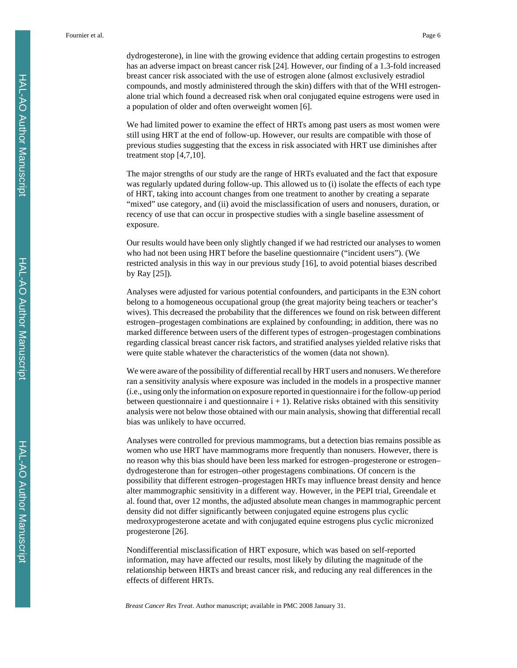dydrogesterone), in line with the growing evidence that adding certain progestins to estrogen has an adverse impact on breast cancer risk [24]. However, our finding of a 1.3-fold increased breast cancer risk associated with the use of estrogen alone (almost exclusively estradiol compounds, and mostly administered through the skin) differs with that of the WHI estrogenalone trial which found a decreased risk when oral conjugated equine estrogens were used in a population of older and often overweight women [6].

We had limited power to examine the effect of HRTs among past users as most women were still using HRT at the end of follow-up. However, our results are compatible with those of previous studies suggesting that the excess in risk associated with HRT use diminishes after treatment stop [4,7,10].

The major strengths of our study are the range of HRTs evaluated and the fact that exposure was regularly updated during follow-up. This allowed us to (i) isolate the effects of each type of HRT, taking into account changes from one treatment to another by creating a separate "mixed" use category, and (ii) avoid the misclassification of users and nonusers, duration, or recency of use that can occur in prospective studies with a single baseline assessment of exposure.

Our results would have been only slightly changed if we had restricted our analyses to women who had not been using HRT before the baseline questionnaire ("incident users"). (We restricted analysis in this way in our previous study [16], to avoid potential biases described by Ray [25]).

Analyses were adjusted for various potential confounders, and participants in the E3N cohort belong to a homogeneous occupational group (the great majority being teachers or teacher's wives). This decreased the probability that the differences we found on risk between different estrogen–progestagen combinations are explained by confounding; in addition, there was no marked difference between users of the different types of estrogen–progestagen combinations regarding classical breast cancer risk factors, and stratified analyses yielded relative risks that were quite stable whatever the characteristics of the women (data not shown).

We were aware of the possibility of differential recall by HRT users and nonusers. We therefore ran a sensitivity analysis where exposure was included in the models in a prospective manner (i.e., using only the information on exposure reported in questionnaire i for the follow-up period between questionnaire i and questionnaire  $i + 1$ ). Relative risks obtained with this sensitivity analysis were not below those obtained with our main analysis, showing that differential recall bias was unlikely to have occurred.

Analyses were controlled for previous mammograms, but a detection bias remains possible as women who use HRT have mammograms more frequently than nonusers. However, there is no reason why this bias should have been less marked for estrogen–progesterone or estrogen– dydrogesterone than for estrogen–other progestagens combinations. Of concern is the possibility that different estrogen–progestagen HRTs may influence breast density and hence alter mammographic sensitivity in a different way. However, in the PEPI trial, Greendale et al. found that, over 12 months, the adjusted absolute mean changes in mammographic percent density did not differ significantly between conjugated equine estrogens plus cyclic medroxyprogesterone acetate and with conjugated equine estrogens plus cyclic micronized progesterone [26].

Nondifferential misclassification of HRT exposure, which was based on self-reported information, may have affected our results, most likely by diluting the magnitude of the relationship between HRTs and breast cancer risk, and reducing any real differences in the effects of different HRTs.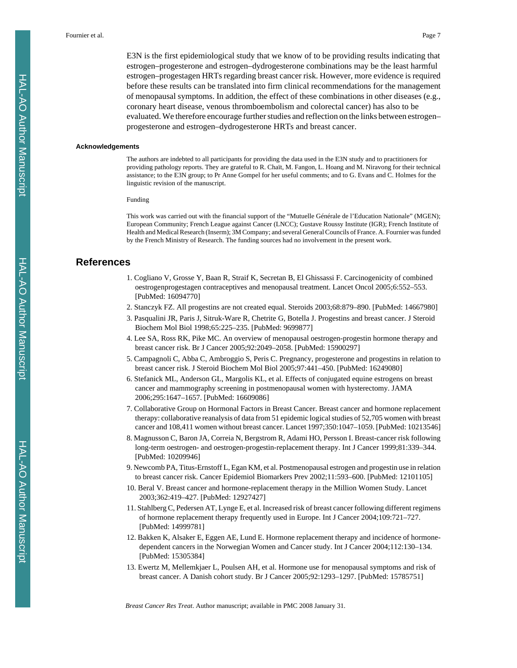E3N is the first epidemiological study that we know of to be providing results indicating that estrogen–progesterone and estrogen–dydrogesterone combinations may be the least harmful estrogen–progestagen HRTs regarding breast cancer risk. However, more evidence is required before these results can be translated into firm clinical recommendations for the management of menopausal symptoms. In addition, the effect of these combinations in other diseases (e.g., coronary heart disease, venous thromboembolism and colorectal cancer) has also to be evaluated. We therefore encourage further studies and reflection on the links between estrogen– progesterone and estrogen–dydrogesterone HRTs and breast cancer.

#### **Acknowledgements**

The authors are indebted to all participants for providing the data used in the E3N study and to practitioners for providing pathology reports. They are grateful to R. Chaït, M. Fangon, L. Hoang and M. Niravong for their technical assistance; to the E3N group; to Pr Anne Gompel for her useful comments; and to G. Evans and C. Holmes for the linguistic revision of the manuscript.

#### Funding

This work was carried out with the financial support of the "Mutuelle Générale de l'Education Nationale" (MGEN); European Community; French League against Cancer (LNCC); Gustave Roussy Institute (IGR); French Institute of Health and Medical Research (Inserm); 3M Company; and several General Councils of France. A. Fournier was funded by the French Ministry of Research. The funding sources had no involvement in the present work.

## **References**

- 1. Cogliano V, Grosse Y, Baan R, Straif K, Secretan B, El Ghissassi F. Carcinogenicity of combined oestrogenprogestagen contraceptives and menopausal treatment. Lancet Oncol 2005;6:552–553. [PubMed: 16094770]
- 2. Stanczyk FZ. All progestins are not created equal. Steroids 2003;68:879–890. [PubMed: 14667980]
- 3. Pasqualini JR, Paris J, Sitruk-Ware R, Chetrite G, Botella J. Progestins and breast cancer. J Steroid Biochem Mol Biol 1998;65:225–235. [PubMed: 9699877]
- 4. Lee SA, Ross RK, Pike MC. An overview of menopausal oestrogen-progestin hormone therapy and breast cancer risk. Br J Cancer 2005;92:2049–2058. [PubMed: 15900297]
- 5. Campagnoli C, Abba C, Ambroggio S, Peris C. Pregnancy, progesterone and progestins in relation to breast cancer risk. J Steroid Biochem Mol Biol 2005;97:441–450. [PubMed: 16249080]
- 6. Stefanick ML, Anderson GL, Margolis KL, et al. Effects of conjugated equine estrogens on breast cancer and mammography screening in postmenopausal women with hysterectomy. JAMA 2006;295:1647–1657. [PubMed: 16609086]
- 7. Collaborative Group on Hormonal Factors in Breast Cancer. Breast cancer and hormone replacement therapy: collaborative reanalysis of data from 51 epidemic logical studies of 52,705 women with breast cancer and 108,411 women without breast cancer. Lancet 1997;350:1047–1059. [PubMed: 10213546]
- 8. Magnusson C, Baron JA, Correia N, Bergstrom R, Adami HO, Persson I. Breast-cancer risk following long-term oestrogen- and oestrogen-progestin-replacement therapy. Int J Cancer 1999;81:339–344. [PubMed: 10209946]
- 9. Newcomb PA, Titus-Ernstoff L, Egan KM, et al. Postmenopausal estrogen and progestin use in relation to breast cancer risk. Cancer Epidemiol Biomarkers Prev 2002;11:593–600. [PubMed: 12101105]
- 10. Beral V. Breast cancer and hormone-replacement therapy in the Million Women Study. Lancet 2003;362:419–427. [PubMed: 12927427]
- 11. Stahlberg C, Pedersen AT, Lynge E, et al. Increased risk of breast cancer following different regimens of hormone replacement therapy frequently used in Europe. Int J Cancer 2004;109:721–727. [PubMed: 14999781]
- 12. Bakken K, Alsaker E, Eggen AE, Lund E. Hormone replacement therapy and incidence of hormonedependent cancers in the Norwegian Women and Cancer study. Int J Cancer 2004;112:130–134. [PubMed: 15305384]
- 13. Ewertz M, Mellemkjaer L, Poulsen AH, et al. Hormone use for menopausal symptoms and risk of breast cancer. A Danish cohort study. Br J Cancer 2005;92:1293–1297. [PubMed: 15785751]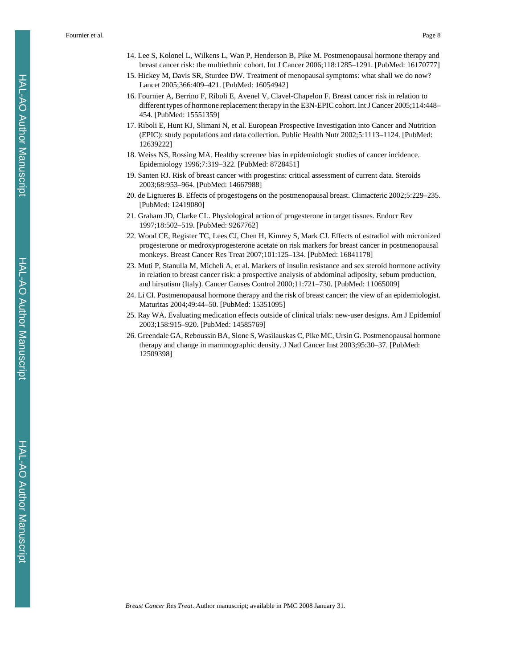Fournier et al. Page 8

- 14. Lee S, Kolonel L, Wilkens L, Wan P, Henderson B, Pike M. Postmenopausal hormone therapy and breast cancer risk: the multiethnic cohort. Int J Cancer 2006;118:1285–1291. [PubMed: 16170777]
- 15. Hickey M, Davis SR, Sturdee DW. Treatment of menopausal symptoms: what shall we do now? Lancet 2005;366:409–421. [PubMed: 16054942]
- 16. Fournier A, Berrino F, Riboli E, Avenel V, Clavel-Chapelon F. Breast cancer risk in relation to different types of hormone replacement therapy in the E3N-EPIC cohort. Int J Cancer 2005;114:448– 454. [PubMed: 15551359]
- 17. Riboli E, Hunt KJ, Slimani N, et al. European Prospective Investigation into Cancer and Nutrition (EPIC): study populations and data collection. Public Health Nutr 2002;5:1113–1124. [PubMed: 12639222]
- 18. Weiss NS, Rossing MA. Healthy screenee bias in epidemiologic studies of cancer incidence. Epidemiology 1996;7:319–322. [PubMed: 8728451]
- 19. Santen RJ. Risk of breast cancer with progestins: critical assessment of current data. Steroids 2003;68:953–964. [PubMed: 14667988]
- 20. de Lignieres B. Effects of progestogens on the postmenopausal breast. Climacteric 2002;5:229–235. [PubMed: 12419080]
- 21. Graham JD, Clarke CL. Physiological action of progesterone in target tissues. Endocr Rev 1997;18:502–519. [PubMed: 9267762]
- 22. Wood CE, Register TC, Lees CJ, Chen H, Kimrey S, Mark CJ. Effects of estradiol with micronized progesterone or medroxyprogesterone acetate on risk markers for breast cancer in postmenopausal monkeys. Breast Cancer Res Treat 2007;101:125–134. [PubMed: 16841178]
- 23. Muti P, Stanulla M, Micheli A, et al. Markers of insulin resistance and sex steroid hormone activity in relation to breast cancer risk: a prospective analysis of abdominal adiposity, sebum production, and hirsutism (Italy). Cancer Causes Control 2000;11:721–730. [PubMed: 11065009]
- 24. Li CI. Postmenopausal hormone therapy and the risk of breast cancer: the view of an epidemiologist. Maturitas 2004;49:44–50. [PubMed: 15351095]
- 25. Ray WA. Evaluating medication effects outside of clinical trials: new-user designs. Am J Epidemiol 2003;158:915–920. [PubMed: 14585769]
- 26. Greendale GA, Reboussin BA, Slone S, Wasilauskas C, Pike MC, Ursin G. Postmenopausal hormone therapy and change in mammographic density. J Natl Cancer Inst 2003;95:30–37. [PubMed: 12509398]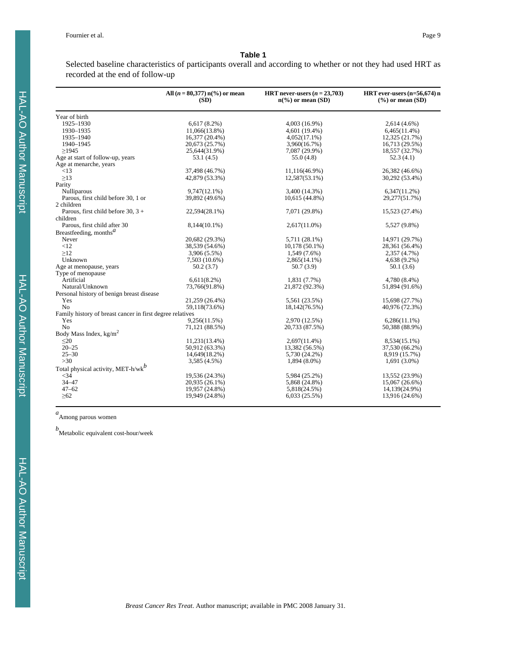**Table 1**

Selected baseline characteristics of participants overall and according to whether or not they had used HRT as recorded at the end of follow-up

|                                                           | All $(n = 80,377)$ n(%) or mean<br>(SD) | HRT never-users $(n = 23,703)$<br>$n$ <sup>(%</sup> ) or mean (SD) | HRT ever-users $(n=56,674)$ n<br>$(\%)$ or mean (SD) |
|-----------------------------------------------------------|-----------------------------------------|--------------------------------------------------------------------|------------------------------------------------------|
| Year of birth                                             |                                         |                                                                    |                                                      |
| 1925-1930                                                 | $6,617(8.2\%)$                          | 4,003 (16.9%)                                                      | $2,614(4.6\%)$                                       |
| 1930-1935                                                 | 11,066(13.8%)                           | 4,601 (19.4%)                                                      | $6,465(11.4\%)$                                      |
| 1935-1940                                                 | 16,377 (20.4%)                          | $4,052(17.1\%)$                                                    | 12,325 (21.7%)                                       |
| 1940-1945                                                 | 20,673 (25.7%)                          | 3,960(16.7%)                                                       | 16,713 (29.5%)                                       |
| >1945                                                     | 25,644(31.9%)                           | 7,087 (29.9%)                                                      | 18,557 (32.7%)                                       |
| Age at start of follow-up, years                          | 53.1(4.5)                               | 55.0(4.8)                                                          | 52.3(4.1)                                            |
| Age at menarche, years                                    |                                         |                                                                    |                                                      |
| <13                                                       | 37,498 (46.7%)                          | 11,116(46.9%)                                                      | 26,382 (46.6%)                                       |
| $\geq$ 13                                                 | 42,879 (53.3%)                          | 12,587(53.1%)                                                      | 30,292 (53.4%)                                       |
| Parity                                                    |                                         |                                                                    |                                                      |
| Nulliparous                                               | $9,747(12.1\%)$                         | 3,400 (14.3%)                                                      | 6,347(11.2%)                                         |
| Parous, first child before 30, 1 or                       | 39,892 (49.6%)                          | 10,615 (44.8%)                                                     | 29,277(51.7%)                                        |
| 2 children                                                |                                         |                                                                    |                                                      |
| Parous, first child before $30, 3 +$                      | 22,594(28.1%)                           | 7,071 (29.8%)                                                      | 15,523 (27.4%)                                       |
| children                                                  |                                         |                                                                    |                                                      |
| Parous, first child after 30                              | 8,144(10.1%)                            | $2,617(11.0\%)$                                                    | 5,527 (9.8%)                                         |
| Breastfeeding, months <sup><math>a</math></sup>           |                                         |                                                                    |                                                      |
| Never                                                     | 20,682 (29.3%)                          | 5,711 (28.1%)                                                      | 14,971 (29.7%)                                       |
| <12                                                       | 38,539 (54.6%)                          | 10,178 (50.1%)                                                     | 28,361 (56.4%)                                       |
| >12                                                       | 3,906 (5.5%)                            | 1,549 (7.6%)                                                       | 2,357(4.7%)                                          |
| Unknown                                                   | 7,503 (10.6%)                           | $2,865(14.1\%)$                                                    | 4,638 (9.2%)                                         |
| Age at menopause, years                                   | 50.2(3.7)                               | 50.7(3.9)                                                          | 50.1(3.6)                                            |
| Type of menopause                                         |                                         |                                                                    |                                                      |
| Artificial                                                | $6,611(8.2\%)$                          | 1,831 (7.7%)                                                       | 4,780 (8.4%)                                         |
| Natural/Unknown                                           | 73,766(91.8%)                           | 21,872 (92.3%)                                                     | 51,894 (91.6%)                                       |
| Personal history of benign breast disease                 |                                         |                                                                    |                                                      |
| Yes                                                       | 21,259 (26.4%)                          | 5,561 (23.5%)                                                      | 15,698 (27.7%)                                       |
| No                                                        | 59,118(73.6%)                           | 18,142(76.5%)                                                      | 40,976 (72.3%)                                       |
| Family history of breast cancer in first degree relatives |                                         |                                                                    |                                                      |
| Yes                                                       | 9,256(11.5%)                            | 2,970 (12.5%)                                                      | $6,286(11.1\%)$                                      |
| No                                                        | 71,121 (88.5%)                          | 20,733 (87.5%)                                                     | 50,388 (88.9%)                                       |
| Body Mass Index, $kg/m2$                                  |                                         |                                                                    |                                                      |
| $\leq$ 20                                                 | 11,231(13.4%)                           | $2,697(11.4\%)$                                                    | 8,534(15.1%)                                         |
| $20 - 25$                                                 | 50.912 (63.3%)                          | 13,382 (56.5%)                                                     | 37,530 (66.2%)                                       |
| $25 - 30$                                                 | 14,649(18.2%)                           |                                                                    | 8,919 (15.7%)                                        |
| $>30$                                                     | 3,585 (4.5%)                            | 5,730 (24.2%)<br>$1,894(8.0\%)$                                    | $1,691(3.0\%)$                                       |
|                                                           |                                         |                                                                    |                                                      |
| Total physical activity, MET-h/wk <sup>b</sup>            |                                         |                                                                    |                                                      |
| $\leq 34$                                                 | 19,536 (24.3%)                          | 5,984 (25.2%)                                                      | 13,552 (23.9%)                                       |
| $34 - 47$                                                 | 20,935 (26.1%)                          | 5,868 (24.8%)                                                      | 15,067 (26.6%)                                       |
| $47 - 62$<br>$\geq 62$                                    | 19,957 (24.8%)<br>19,949 (24.8%)        | 5,818(24.5%)<br>6,033(25.5%)                                       | 14,139(24.9%)<br>13,916 (24.6%)                      |
|                                                           |                                         |                                                                    |                                                      |

*a* Among parous women

 $\boldsymbol{b}$ Metabolic equivalent cost-hour/week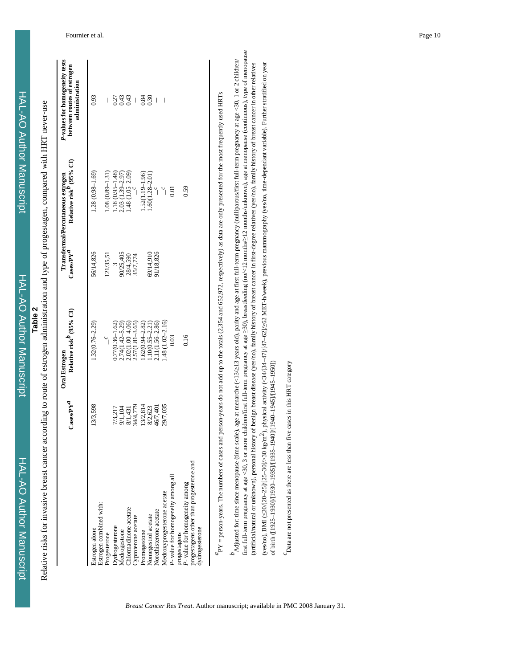HAL-AO Author Manuscript HAL-AO Author Manuscript

 HAL-AO Author ManuscriptHAL-AO Author Manuscript Table 2<br>Relative risks for invasive breast cancer according to route of estrogen administration and type of progestagen, compared with HRT never-use Relative risks for invasive breast cancer according to route of estrogen administration and type of progestagen, compared with HRT never-use

|                                                                                                              | $\mathrm{Cases} \mathrm{P}\mathrm{Y}^d$ | Relative risk <sup>p</sup> (95% CI)<br><b>Oral Estrogen</b> | $\text{Cases/PY}^d$               | Relative risk <sup>"</sup> (95% CI)<br>Transdermal/Percutaneous estrogen | P-values for homogeneity tests<br>between routes of estrogen<br>administration |
|--------------------------------------------------------------------------------------------------------------|-----------------------------------------|-------------------------------------------------------------|-----------------------------------|--------------------------------------------------------------------------|--------------------------------------------------------------------------------|
| Estrogen combined with:<br>Estrogen alone                                                                    | 13/3,598                                | $1.32(0.76 - 2.29)$                                         | 56/14,826                         | $(0.98 - 1.69)$                                                          | 0.93                                                                           |
| rogesterone                                                                                                  |                                         | $\sim$                                                      | 121/35,51                         | $.08(0.89 - 1.31)$                                                       |                                                                                |
| Dydrogesterone<br>Medrogestone<br>Chlormadinone acetate                                                      | 7/3,217                                 | $0.77(0.36 - 1.62)$                                         | $\frac{3}{2}$                     |                                                                          | 27                                                                             |
|                                                                                                              |                                         | $2.74(1.42 - 5.29)$                                         |                                   | $.18(0.95-1.48)$<br>$2.03(1.39-2.97)$                                    |                                                                                |
|                                                                                                              |                                         | 2.02(1.00-4.06)<br>2.57(1.81-3.65)                          | 90/25,405<br>28/4,590<br>35/7,774 | $48(1.05-2.09)$<br>$-$                                                   | 3.43<br>2.43                                                                   |
| Cyproterone acetate                                                                                          | 9/1,104<br>8/1,431<br>34/4,779          |                                                             |                                   |                                                                          | I                                                                              |
| Promegestone                                                                                                 |                                         | $.62(0.94 - 2.82)$                                          |                                   | .52(1.19-1.96)                                                           | .84                                                                            |
|                                                                                                              | 13/2,814<br>8/2,623<br>46/7,401         | $.10(0.55 - 2.21)$                                          |                                   | $1.60(1.28-2.01)$                                                        | 0.30                                                                           |
| Nomegestrol acetate<br>Norethisterone acetate                                                                |                                         | $.11(1.56 - 2.86)$                                          | 69/14,910<br>91/18,826            |                                                                          |                                                                                |
| Medroxyprogesterone acetate                                                                                  | 29/7,035                                | $.48(1.02 - 2.16)$                                          |                                   |                                                                          | I                                                                              |
| P-value for homogeneity among all                                                                            |                                         | 0.03                                                        |                                   | 0.01                                                                     |                                                                                |
| progestagens other than progesterone and<br>progestagens<br>P- value for homogeneity among<br>dydrogesterone |                                         | 0.16                                                        |                                   | 0.59                                                                     |                                                                                |
|                                                                                                              |                                         |                                                             |                                   |                                                                          |                                                                                |

 ${}^{4}$ PY = person-years. The numbers of cases and person-years do not add up to the totals (2,354 and 652,972, respectively) as data are only presented for the most frequently used HRTs <sup>a</sup>PY = person-years. The numbers of cases and person-years do not add up to the totals (2,354 and 652,972, respectively) as data are only presented for the most frequently used HRTs

b adjusted for: time since menopause (time scale), age at menarche (<13/213 years old), parity and age at first full-term pregnancy (nulliparous/first full-term pregnancy at age <30, 1 or 2 children/ferm pregnancy at age first full-term pregnancy at age <30, 3 or more children/first full-term pregnancy at age ≥30), breastfeeding (no/<12 months/≥12 months/unknown), age at menopause (continuous), type of menopause *b*Adjusted for: time since menopause (time scale), age at menarche (<13/≥13 years old), parity and age at first full-term pregnancy (nulliparous/first full-term pregnancy at age <30, 1 or 2 children/ (artificial/natural or unknown), personal history of benign breast disease (yes/no), family history of breast cancer in first-degree relatives (yes/no), family history of breast cancer in other relatives (yes/no), BMI (≤20/[20–25]/(25–30]/>30 kg/m<sup>2</sup>), physical activity (<34/[34–47]/[47–62]/≥62 MET-h/week), previous mammography (yes/no, time-dependant variable). Further stratified on year<br>of birth ([1925–1930]/[1930–1935] (yes/no), BMI (≤20/[20–25]/[25–30]/>30 kg/m2), physical activity (<34/[34–47]/[47–62]/≥62 MET-h/week), previous mammography (yes/no, time-dependant variable). Further stratified on year (artificial/natural or unknown), personal history of benign breast disease (yes/no), family history of breast cancer in first-degree relatives (yes/no), family history of breast cancer in other relatives of birth ([1925–1930]/[1930–1935]/[1935–1940]/[1940–1945]/[1945–1950])

Data are not presented as there are less than five cases in this HRT category *c*Data are not presented as there are less than five cases in this HRT category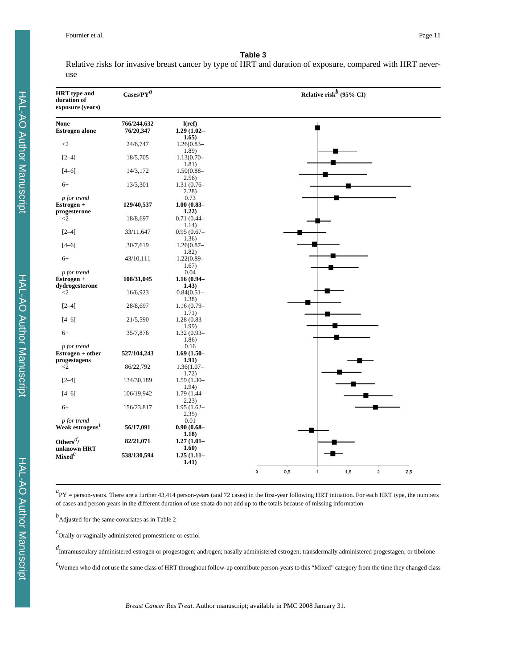use

## **Table 3** Relative risks for invasive breast cancer by type of HRT and duration of exposure, compared with HRT never-

**Cases/PY**<sup>*a*</sup> **Relative risk**<sup>*b*</sup> (95% CI) **HRT type and duration of exposure (years) None 766/244,632 l(ref)**<br>**Estrogen alone 76/20,347 1.29 (1.02– Estrogen alone 76/20,347 1.29 (1.02– 1.65)** <2 24/6,747 1.26(0.83**–** 1.89) [2**–**4[ 18/5,705 1.13(0.70**–** 1.81) [4**–**6[ 14/3,172 1.50(0.88**–**  $2.56)$ 6+ 13/3,301 1.31 (0.76**–**  $2.28$ )<br>0.73 *p for trend*<br> **strogen** + 129/40,537 **Estrogen + 129/40,537 1.00 (0.83– progesterone 1.22)** <2 18/8,697 0.71 (0.44**–** 1.14) [2**–**4[ 33/11,647 0.95 (0.67**–** 1.36) [4**–**6[ 30/7,619 1.26(0.87**–**  $1.82$ )<br> $1.22(0.89-$ 6+ 43/10,111 1.22(0.89**–**  $\frac{1.67}{0.04}$ *p for trend* 0.04 **108/31,045 1.16 (0.94– Estrogen + dydrogesterone 1.43)**  $\leq$  2 16/6,923 0.84(0.51– 1.38)  $[2-4]$  28/8,697 1.16 (0.79– 1.71) [4–6[ 21/5,590 1.28 (0.83– 1.99) 6+ 35/7,876 1.32 (0.93–  $\begin{array}{c} 1.86 \\ 0.16 \end{array}$ *p for trend* 0.16<br> **strogen** + **other** 527/104,243 **1.69** (1.50– **Estrogen + other 527/104,243 1.69 (1.50– progestagens 1.91)** 86/22,792 1.36(1.07– 1.72)  $[2-4]$  134/30,189 1.59 (1.30– 1.94) [4–6[ 106/19,942 1.79 (1.44– 2.23) 6+ 156/23,817 1.95 (1.62–  $2.35$ )<br> $0.01$ *p for trend*<br> *P***eak estrogens<sup>1</sup>** 56/17,091 **Weak estrogens**<sup>1</sup> **56/17,091 0.90 (0.68– 1.18) Others***<sup>d</sup>* **/ 82/21,071 1.27 (1.01–**  $1.60)$ <br> $1.25(1.11$ **unknown HRT Mixed<sup>e</sup> 538/130,594 1.41)**  $\,$  0  $\,$  $0,5$  $1,5$  $\overline{\mathbf{c}}$  $2,5$ 

*a* PY = person-years. There are a further 43,414 person-years (and 72 cases) in the first-year following HRT initiation. For each HRT type, the numbers of cases and person-years in the different duration of use strata do not add up to the totals because of missing information

*b* Adjusted for the same covariates as in Table 2

*c* Orally or vaginally administered promestriene or estriol

*d* Intramusculary administered estrogen or progestogen; androgen; nasally administered estrogen; transdermally administered progestagen; or tibolone

*<sup>e</sup>*Women who did not use the same class of HRT throughout follow-up contribute person-years to this "Mixed" category from the time they changed class